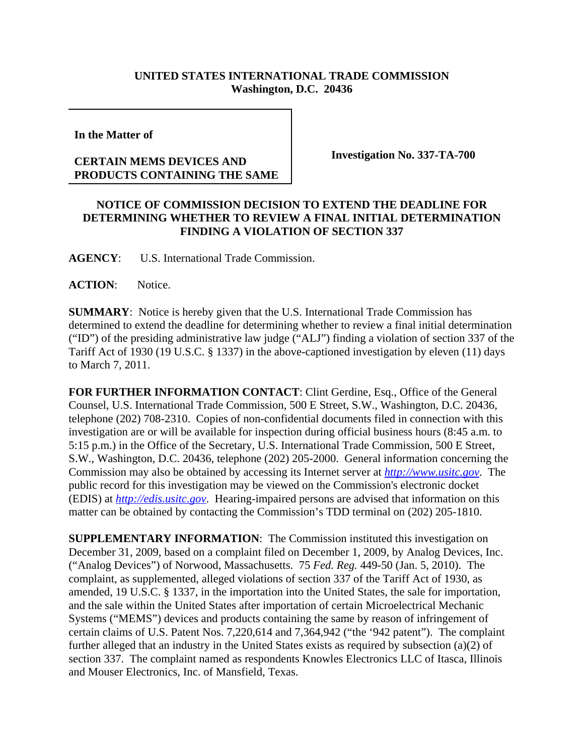## **UNITED STATES INTERNATIONAL TRADE COMMISSION Washington, D.C. 20436**

**In the Matter of** 

## **CERTAIN MEMS DEVICES AND PRODUCTS CONTAINING THE SAME**

**Investigation No. 337-TA-700**

## **NOTICE OF COMMISSION DECISION TO EXTEND THE DEADLINE FOR DETERMINING WHETHER TO REVIEW A FINAL INITIAL DETERMINATION FINDING A VIOLATION OF SECTION 337**

**AGENCY**: U.S. International Trade Commission.

## **ACTION**: Notice.

**SUMMARY**: Notice is hereby given that the U.S. International Trade Commission has determined to extend the deadline for determining whether to review a final initial determination ("ID") of the presiding administrative law judge ("ALJ") finding a violation of section 337 of the Tariff Act of 1930 (19 U.S.C. § 1337) in the above-captioned investigation by eleven (11) days to March 7, 2011.

**FOR FURTHER INFORMATION CONTACT**: Clint Gerdine, Esq., Office of the General Counsel, U.S. International Trade Commission, 500 E Street, S.W., Washington, D.C. 20436, telephone (202) 708-2310. Copies of non-confidential documents filed in connection with this investigation are or will be available for inspection during official business hours (8:45 a.m. to 5:15 p.m.) in the Office of the Secretary, U.S. International Trade Commission, 500 E Street, S.W., Washington, D.C. 20436, telephone (202) 205-2000. General information concerning the Commission may also be obtained by accessing its Internet server at *http://www.usitc.gov*. The public record for this investigation may be viewed on the Commission's electronic docket (EDIS) at *http://edis.usitc.gov*. Hearing-impaired persons are advised that information on this matter can be obtained by contacting the Commission's TDD terminal on (202) 205-1810.

**SUPPLEMENTARY INFORMATION:** The Commission instituted this investigation on December 31, 2009, based on a complaint filed on December 1, 2009, by Analog Devices, Inc. ("Analog Devices") of Norwood, Massachusetts. 75 *Fed. Reg.* 449-50 (Jan. 5, 2010). The complaint, as supplemented, alleged violations of section 337 of the Tariff Act of 1930, as amended, 19 U.S.C. § 1337, in the importation into the United States, the sale for importation, and the sale within the United States after importation of certain Microelectrical Mechanic Systems ("MEMS") devices and products containing the same by reason of infringement of certain claims of U.S. Patent Nos. 7,220,614 and 7,364,942 ("the '942 patent"). The complaint further alleged that an industry in the United States exists as required by subsection (a)(2) of section 337. The complaint named as respondents Knowles Electronics LLC of Itasca, Illinois and Mouser Electronics, Inc. of Mansfield, Texas.